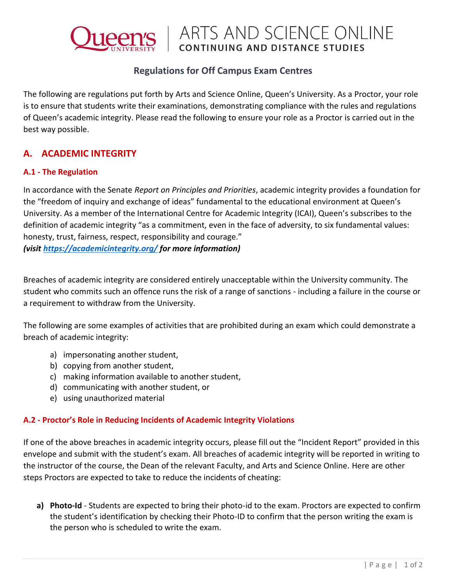

## **Regulations for Off Campus Exam Centres**

The following are regulations put forth by Arts and Science Online, Queen's University. As a Proctor, your role is to ensure that students write their examinations, demonstrating compliance with the rules and regulations of Queen's academic integrity. Please read the following to ensure your role as a Proctor is carried out in the best way possible.

## **A. ACADEMIC INTEGRITY**

#### **A.1 - The Regulation**

In accordance with the Senate *Report on Principles and Priorities*, academic integrity provides a foundation for the "freedom of inquiry and exchange of ideas" fundamental to the educational environment at Queen's University. As a member of the International Centre for Academic Integrity (ICAI), Queen's subscribes to the definition of academic integrity "as a commitment, even in the face of adversity, to six fundamental values: honesty, trust, fairness, respect, responsibility and courage."

*(visit<https://academicintegrity.org/> for more information)*

Breaches of academic integrity are considered entirely unacceptable within the University community. The student who commits such an offence runs the risk of a range of sanctions - including a failure in the course or a requirement to withdraw from the University.

The following are some examples of activities that are prohibited during an exam which could demonstrate a breach of academic integrity:

- a) impersonating another student,
- b) copying from another student,
- c) making information available to another student,
- d) communicating with another student, or
- e) using unauthorized material

### **A.2 - Proctor's Role in Reducing Incidents of Academic Integrity Violations**

If one of the above breaches in academic integrity occurs, please fill out the "Incident Report" provided in this envelope and submit with the student's exam. All breaches of academic integrity will be reported in writing to the instructor of the course, the Dean of the relevant Faculty, and Arts and Science Online. Here are other steps Proctors are expected to take to reduce the incidents of cheating:

**a) Photo-Id** - Students are expected to bring their photo-id to the exam. Proctors are expected to confirm the student's identification by checking their Photo-ID to confirm that the person writing the exam is the person who is scheduled to write the exam.